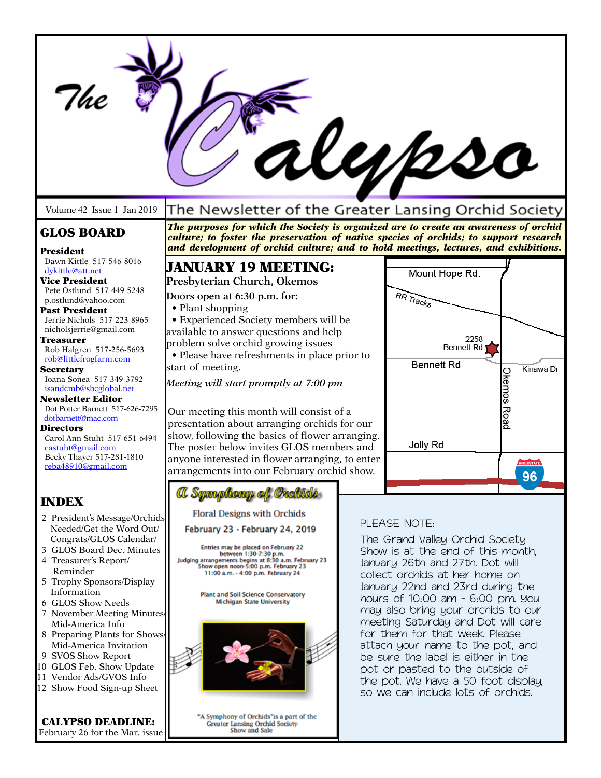| The                                                                                                                                                                                                                                                                                                                                                                                                                                             |                                                                                                                                                                                                                                                                                                                                                                                                                                                                                                                                                                                                                                                      |                                                                                                                                                                                                                                                                                                                                                                                                                                                                                                                                           | UM2so                                                                         |                                 |  |
|-------------------------------------------------------------------------------------------------------------------------------------------------------------------------------------------------------------------------------------------------------------------------------------------------------------------------------------------------------------------------------------------------------------------------------------------------|------------------------------------------------------------------------------------------------------------------------------------------------------------------------------------------------------------------------------------------------------------------------------------------------------------------------------------------------------------------------------------------------------------------------------------------------------------------------------------------------------------------------------------------------------------------------------------------------------------------------------------------------------|-------------------------------------------------------------------------------------------------------------------------------------------------------------------------------------------------------------------------------------------------------------------------------------------------------------------------------------------------------------------------------------------------------------------------------------------------------------------------------------------------------------------------------------------|-------------------------------------------------------------------------------|---------------------------------|--|
| Volume 42 Issue 1 Jan 2019                                                                                                                                                                                                                                                                                                                                                                                                                      | The Newsletter of the Greater Lansing Orchid Society                                                                                                                                                                                                                                                                                                                                                                                                                                                                                                                                                                                                 |                                                                                                                                                                                                                                                                                                                                                                                                                                                                                                                                           |                                                                               |                                 |  |
| <b>GLOS BOARD</b><br>President<br>Dawn Kittle 517-546-8016                                                                                                                                                                                                                                                                                                                                                                                      | The purposes for which the Society is organized are to create an awareness of orchid<br>culture; to foster the preservation of native species of orchids; to support research<br>and development of orchid culture; and to hold meetings, lectures, and exhibitions.                                                                                                                                                                                                                                                                                                                                                                                 |                                                                                                                                                                                                                                                                                                                                                                                                                                                                                                                                           |                                                                               |                                 |  |
| dykittle@att.net<br><b>Vice President</b><br>Pete Ostlund 517-449-5248<br>p.ostlund@yahoo.com<br><b>Past President</b><br>Jerrie Nichols 517-223-8965<br>nicholsjerrie@gmail.com<br><b>Treasurer</b><br>Rob Halgren 517-256-5693<br>rob@littlefrogfarm.com<br><b>Secretary</b><br>Ioana Sonea 517-349-3792<br>isandcmb@sbcglobal.net<br><b>Newsletter Editor</b><br>Dot Potter Barnett 517-626-7295<br>dotbarnett@mac.com                       | <b>JANUARY 19 MEETING:</b><br>Presbyterian Church, Okemos<br>Doors open at 6:30 p.m. for:<br>• Plant shopping<br>· Experienced Society members will be<br>available to answer questions and help<br>problem solve orchid growing issues<br>• Please have refreshments in place prior to<br>start of meeting.<br>Meeting will start promptly at 7:00 pm<br>Our meeting this month will consist of a<br>presentation about arranging orchids for our<br>show, following the basics of flower arranging.<br>The poster below invites GLOS members and<br>anyone interested in flower arranging, to enter<br>arrangements into our February orchid show. |                                                                                                                                                                                                                                                                                                                                                                                                                                                                                                                                           | Mount Hope Rd.<br>RR Tracks<br>2258<br><b>Bennett Rd</b><br><b>Bennett Rd</b> | Kinawa Dr<br><b>Okemos Road</b> |  |
| <b>Directors</b><br>Carol Ann Stuht 517-651-6494<br>castuht@gmail.com<br>Becky Thayer 517-281-1810<br>reba48910@gmail.com                                                                                                                                                                                                                                                                                                                       |                                                                                                                                                                                                                                                                                                                                                                                                                                                                                                                                                                                                                                                      |                                                                                                                                                                                                                                                                                                                                                                                                                                                                                                                                           | Jolly Rd                                                                      | <b>INTERSTATE</b><br>96         |  |
| <b>INDEX</b>                                                                                                                                                                                                                                                                                                                                                                                                                                    | a Symphony of Orchids                                                                                                                                                                                                                                                                                                                                                                                                                                                                                                                                                                                                                                |                                                                                                                                                                                                                                                                                                                                                                                                                                                                                                                                           |                                                                               |                                 |  |
| 2 President's Message/Orchids<br>Needed/Get the Word Out/<br>Congrats/GLOS Calendar/<br>3 GLOS Board Dec. Minutes<br>4 Treasurer's Report/<br>Reminder<br>5 Trophy Sponsors/Display<br>Information<br>6 GLOS Show Needs<br>7 November Meeting Minutes<br>Mid-America Info<br>8 Preparing Plants for Shows/<br>Mid-America Invitation<br>9 SVOS Show Report<br>10 GLOS Feb. Show Update<br>11 Vendor Ads/GVOS Info<br>12 Show Food Sign-up Sheet | <b>Floral Designs with Orchids</b><br>February 23 - February 24, 2019<br>Entries may be placed on February 22<br>between 1:30-7:30 p.m.<br>Judging arrangements begins at 8:30 a.m. February 23<br>Show open noon-5:00 p.m. February 23<br>11:00 a.m. - 4:00 p.m. February 24<br><b>Plant and Soil Science Conservatory</b><br><b>Michigan State University</b>                                                                                                                                                                                                                                                                                      | PLEASE NOTE:<br>The Grand Valley Orchid Society<br>Show is at the end of this month.<br>January 26th and 27th. Dot will<br>collect orchids at her home on<br>January 22nd and 23rd during the<br>hours of 10:00 am - 6:00 pm. You<br>may also bring your orchids to our<br>meeting Saturday and Dot will care<br>for them for that week. Please<br>attach your name to the pot, and<br>be sure the label is either in the<br>pot or pasted to the outside of<br>the pot. We have a 50 foot display,<br>so we can include lots of orchids. |                                                                               |                                 |  |
| <b>CALYPSO DEADLINE:</b>                                                                                                                                                                                                                                                                                                                                                                                                                        | "A Symphony of Orchids" is a part of the<br><b>Greater Lansing Orchid Society</b>                                                                                                                                                                                                                                                                                                                                                                                                                                                                                                                                                                    |                                                                                                                                                                                                                                                                                                                                                                                                                                                                                                                                           |                                                                               |                                 |  |

February 26 for the Mar. issue

Symphony of Orchids is a part<br>Greater Lansing Orchid Society<br>Show and Sale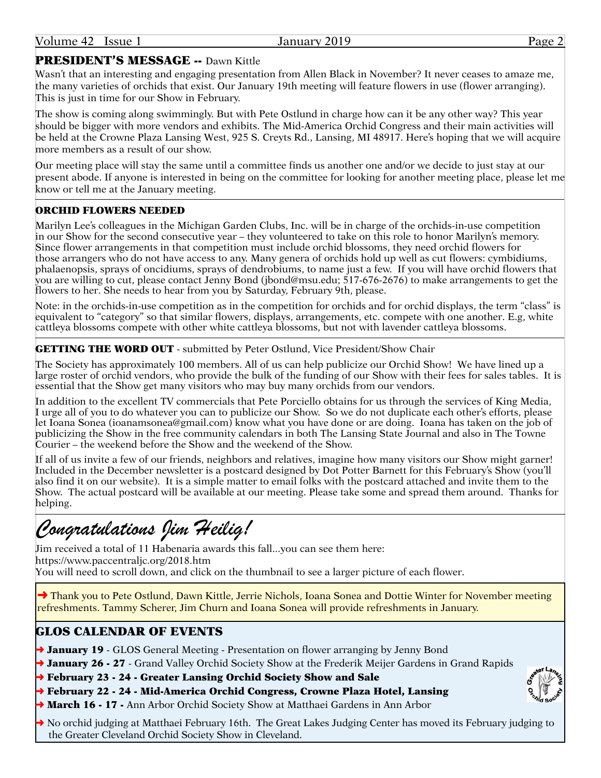# PRESIDENT'S MESSAGE -- Dawn Kittle

Wasn't that an interesting and engaging presentation from Allen Black in November? It never ceases to amaze me, the many varieties of orchids that exist. Our January 19th meeting will feature flowers in use (flower arranging). This is just in time for our Show in February.

The show is coming along swimmingly. But with Pete Ostlund in charge how can it be any other way? This year should be bigger with more vendors and exhibits. The Mid-America Orchid Congress and their main activities will be held at the Crowne Plaza Lansing West, 925 S. Creyts Rd., Lansing, MI 48917. Here's hoping that we will acquire more members as a result of our show

Our meeting place will stay the same until a committee finds us another one and/or we decide to just stay at our present abode. If anyone is interested in being on the committee for looking for another meeting place, please let me know or tell me at the January meeting.

# ORCHID FLOWERS NEEDED

Marilyn Lee's colleagues in the Michigan Garden Clubs, Inc. will be in charge of the orchids-in-use competition in our Show for the second consecutive year – they volunteered to take on this role to honor Marilyn's memory. Since flower arrangements in that competition must include orchid blossoms, they need orchid flowers for those arrangers who do not have access to any. Many genera of orchids hold up well as cut flowers: cymbidiums, phalaenopsis, sprays of oncidiums, sprays of dendrobiums, to name just a few. If you will have orchid flowers that you are willing to cut, please contact Jenny Bond ([jbond@msu.edu](mailto:jbond@msu.edu); 517-676-2676) to make arrangements to get the flowers to her. She needs to hear from you by Saturday, February 9th, please.

Note: in the orchids-in-use competition as in the competition for orchids and for orchid displays, the term "class" is equivalent to "category" so that similar flowers, displays, arrangements, etc. compete with one another. E.g, white cattleya blossoms compete with other white cattleya blossoms, but not with lavender cattleya blossoms.

# **GETTING THE WORD OUT** - submitted by Peter Ostlund, Vice President/Show Chair

The Society has approximately 100 members. All of us can help publicize our Orchid Show! We have lined up a large roster of orchid vendors, who provide the bulk of the funding of our Show with their fees for sales tables. It is essential that the Show get many visitors who may buy many orchids from our vendors.

In addition to the excellent TV commercials that Pete Porciello obtains for us through the services of King Media, I urge all of you to do whatever you can to publicize our Show. So we do not duplicate each other's efforts, please let Ioana Sonea ([ioanamsonea@gmail.com](mailto:ioanamsonea@gmail.com)) know what you have done or are doing. Ioana has taken on the job of publicizing the Show in the free community calendars in both The Lansing State Journal and also in The Towne Courier – the weekend before the Show and the weekend of the Show.

If all of us invite a few of our friends, neighbors and relatives, imagine how many visitors our Show might garner! Included in the December newsletter is a postcard designed by Dot Potter Barnett for this February's Show (you'll also find it on our website). It is a simple matter to email folks with the postcard attached and invite them to the Show. The actual postcard will be available at our meeting. Please take some and spread them around. Thanks for helping.

# *Congratulations Jim Heilig!*

Jim received a total of 11 Habenaria awards this fall...you can see them here: <https://www.paccentraljc.org/2018.htm> You will need to scroll down, and click on the thumbnail to see a larger picture of each flower.

→ Thank you to Pete Ostlund, Dawn Kittle, Jerrie Nichols, Ioana Sonea and Dottie Winter for November meeting refreshments. Tammy Scherer, Jim Churn and Ioana Sonea will provide refreshments in January.

# GLOS CALENDAR OF EVENTS

**→ January 19** - GLOS General Meeting - Presentation on flower arranging by Jenny Bond

→ January 26 - 27 - Grand Valley Orchid Society Show at the Frederik Meijer Gardens in Grand Rapids

→ February 23 - 24 - Greater Lansing Orchid Society Show and Sale

- ➜ February 22 24 Mid-America Orchid Congress, Crowne Plaza Hotel, Lansing
- → March 16 17 Ann Arbor Orchid Society Show at Matthaei Gardens in Ann Arbor

➜ No orchid judging at Matthaei February 16th. The Great Lakes Judging Center has moved its February judging to the Greater Cleveland Orchid Society Show in Cleveland.

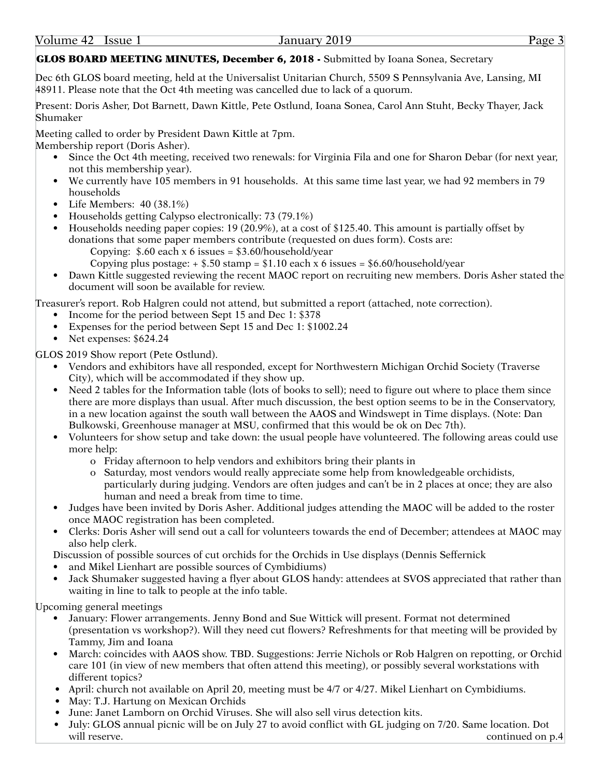# GLOS BOARD MEETING MINUTES, December 6, 2018 - Submitted by Ioana Sonea, Secretary

Dec 6th GLOS board meeting, held at the Universalist Unitarian Church, 5509 S Pennsylvania Ave, Lansing, MI 48911. Please note that the Oct 4th meeting was cancelled due to lack of a quorum.

Present: Doris Asher, Dot Barnett, Dawn Kittle, Pete Ostlund, Ioana Sonea, Carol Ann Stuht, Becky Thayer, Jack Shumaker

Meeting called to order by President Dawn Kittle at 7pm. Membership report (Doris Asher).

- Since the Oct 4th meeting, received two renewals: for Virginia Fila and one for Sharon Debar (for next year, not this membership year).
- We currently have 105 members in 91 households. At this same time last year, we had 92 members in 79 households
- Life Members: 40 (38.1%)
- Households getting Calypso electronically: 73 (79.1%)
- Households needing paper copies: 19 (20.9%), at a cost of \$125.40. This amount is partially offset by donations that some paper members contribute (requested on dues form). Costs are: Copying:  $$.60$  each x 6 issues =  $$3.60$ /household/year
	- Copying plus postage:  $+$  \$.50 stamp = \$1.10 each x 6 issues = [\\$6.60/household/year](6.60/household/year)
- Dawn Kittle suggested reviewing the recent MAOC report on recruiting new members. Doris Asher stated the document will soon be available for review.

Treasurer's report. Rob Halgren could not attend, but submitted a report (attached, note correction).

- Income for the period between Sept 15 and Dec 1: \$378
- Expenses for the period between Sept 15 and Dec 1: \$1002.24
- Net expenses: \$624.24

GLOS 2019 Show report (Pete Ostlund).

- Vendors and exhibitors have all responded, except for Northwestern Michigan Orchid Society (Traverse City), which will be accommodated if they show up.
- Need 2 tables for the Information table (lots of books to sell); need to figure out where to place them since there are more displays than usual. After much discussion, the best option seems to be in the Conservatory, in a new location against the south wall between the AAOS and Windswept in Time displays. (Note: Dan Bulkowski, Greenhouse manager at MSU, confirmed that this would be ok on Dec 7th).
- Volunteers for show setup and take down: the usual people have volunteered. The following areas could use more help:
	- o Friday afternoon to help vendors and exhibitors bring their plants in
	- o Saturday, most vendors would really appreciate some help from knowledgeable orchidists, particularly during judging. Vendors are often judges and can't be in 2 places at once; they are also human and need a break from time to time.
- Judges have been invited by Doris Asher. Additional judges attending the MAOC will be added to the roster once MAOC registration has been completed.
- Clerks: Doris Asher will send out a call for volunteers towards the end of December; attendees at MAOC may also help clerk.

Discussion of possible sources of cut orchids for the Orchids in Use displays (Dennis Seffernick

- and Mikel Lienhart are possible sources of Cymbidiums)
- Jack Shumaker suggested having a flyer about GLOS handy: attendees at SVOS appreciated that rather than waiting in line to talk to people at the info table.

Upcoming general meetings

- January: Flower arrangements. Jenny Bond and Sue Wittick will present. Format not determined (presentation vs workshop?). Will they need cut flowers? Refreshments for that meeting will be provided by Tammy, Jim and Ioana
- March: coincides with AAOS show. TBD. Suggestions: Jerrie Nichols or Rob Halgren on repotting, or Orchid care 101 (in view of new members that often attend this meeting), or possibly several workstations with different topics?
- April: church not available on April 20, meeting must be 4/7 or 4/27. Mikel Lienhart on Cymbidiums.
- May: T.J. Hartung on Mexican Orchids
- June: Janet Lamborn on Orchid Viruses. She will also sell virus detection kits.
- July: GLOS annual picnic will be on July 27 to avoid conflict with GL judging on 7/20. Same location. Dot will reserve. Continued on p.4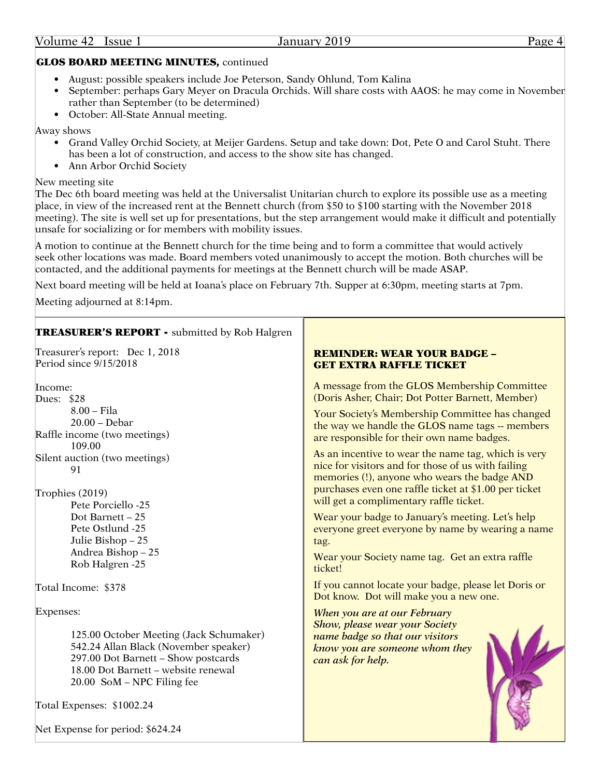# GLOS BOARD MEETING MINUTES, continued

- August: possible speakers include Joe Peterson, Sandy Ohlund, Tom Kalina
- September: perhaps Gary Meyer on Dracula Orchids. Will share costs with AAOS: he may come in November rather than September (to be determined)
- October: All-State Annual meeting.

Away shows

- Grand Valley Orchid Society, at Meijer Gardens. Setup and take down: Dot, Pete O and Carol Stuht. There has been a lot of construction, and access to the show site has changed.
- Ann Arbor Orchid Society

## New meeting site

The Dec 6th board meeting was held at the Universalist Unitarian church to explore its possible use as a meeting place, in view of the increased rent at the Bennett church (from \$50 to \$100 starting with the November 2018 meeting). The site is well set up for presentations, but the step arrangement would make it difficult and potentially unsafe for socializing or for members with mobility issues.

A motion to continue at the Bennett church for the time being and to form a committee that would actively seek other locations was made. Board members voted unanimously to accept the motion. Both churches will be contacted, and the additional payments for meetings at the Bennett church will be made ASAP.

Г

Next board meeting will be held at Ioana's place on February 7th. Supper at 6:30pm, meeting starts at 7pm.

Meeting adjourned at 8:14pm.

| <b>TREASURER'S REPORT - submitted by Rob Halgren</b>          |                                                       |  |
|---------------------------------------------------------------|-------------------------------------------------------|--|
| Treasurer's report: Dec 1, 2018                               | <b>REMINDER: WEAR YOUR BADGE -</b>                    |  |
| Period since 9/15/2018                                        | <b>GET EXTRA RAFFLE TICKET</b>                        |  |
| Income:                                                       | A message from the GLOS Membership Committee          |  |
| Dues: \$28                                                    | (Doris Asher, Chair; Dot Potter Barnett, Member)      |  |
| 8.00 - Fila                                                   | Your Society's Membership Committee has changed       |  |
| $20.00 - Debar$                                               | the way we handle the GLOS name tags -- members       |  |
| Raffle income (two meetings)                                  | are responsible for their own name badges.            |  |
| 109.00                                                        | As an incentive to wear the name tag, which is very   |  |
| Silent auction (two meetings)                                 | nice for visitors and for those of us with failing    |  |
| 91                                                            | memories (!), anyone who wears the badge AND          |  |
| Trophies (2019)                                               | purchases even one raffle ticket at \$1.00 per ticket |  |
| Pete Porciello -25                                            | will get a complimentary raffle ticket.               |  |
| Dot Barnett - 25                                              | Wear your badge to January's meeting. Let's help      |  |
| Pete Ostlund -25                                              | everyone greet everyone by name by wearing a name     |  |
| Julie Bishop - 25                                             | tag.                                                  |  |
| Andrea Bishop - 25                                            | Wear your Society name tag. Get an extra raffle       |  |
| Rob Halgren -25                                               | ticket!                                               |  |
| Total Income: \$378                                           | If you cannot locate your badge, please let Doris or  |  |
| Expenses:                                                     | Dot know. Dot will make you a new one.                |  |
| 125.00 October Meeting (Jack Schumaker)                       | When you are at our February                          |  |
| 542.24 Allan Black (November speaker)                         | <b>Show, please wear your Society</b>                 |  |
| 297.00 Dot Barnett - Show postcards                           | name badge so that our visitors                       |  |
| 18.00 Dot Barnett - website renewal                           | know you are someone whom they                        |  |
| 20.00 SoM - NPC Filing fee                                    | can ask for help.                                     |  |
| Total Expenses: \$1002.24<br>Net Expense for period: \$624.24 |                                                       |  |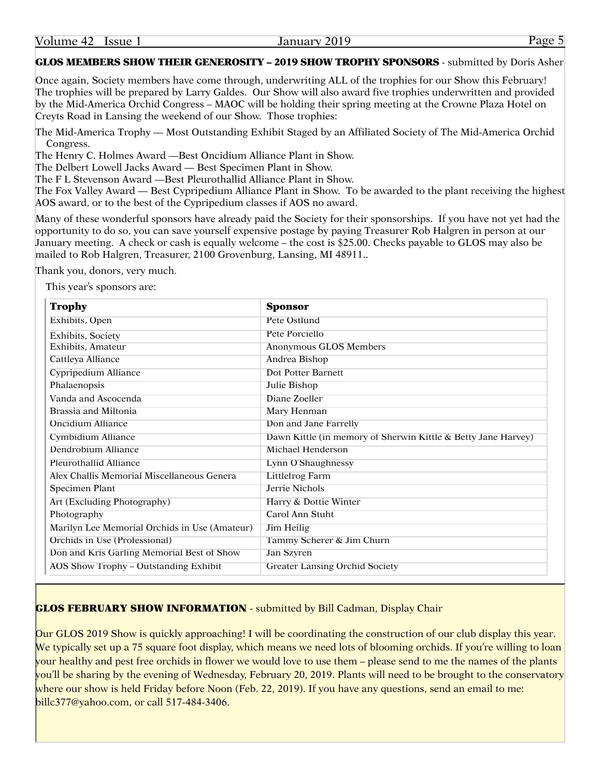GLOS MEMBERS SHOW THEIR GENEROSITY – 2019 SHOW TROPHY SPONSORS - submitted by Doris Asher

Once again, Society members have come through, underwriting ALL of the trophies for our Show this February! The trophies will be prepared by Larry Galdes. Our Show will also award five trophies underwritten and provided by the Mid-America Orchid Congress – MAOC will be holding their spring meeting at the Crowne Plaza Hotel on Creyts Road in Lansing the weekend of our Show. Those trophies:

The Mid-America Trophy — Most Outstanding Exhibit Staged by an Affiliated Society of The Mid-America Orchid Congress.

The Henry C. Holmes Award —Best Oncidium Alliance Plant in Show.

The Delbert Lowell Jacks Award — Best Specimen Plant in Show.

The F L Stevenson Award —Best Pleurothallid Alliance Plant in Show.

The Fox Valley Award — Best Cypripedium Alliance Plant in Show. To be awarded to the plant receiving the highest AOS award, or to the best of the Cypripedium classes if AOS no award.

Many of these wonderful sponsors have already paid the Society for their sponsorships. If you have not yet had the opportunity to do so, you can save yourself expensive postage by paying Treasurer Rob Halgren in person at our January meeting. A check or cash is equally welcome – the cost is \$25.00. Checks payable to GLOS may also be mailed to Rob Halgren, Treasurer, 2100 Grovenburg, Lansing, MI 48911..

Thank you, donors, very much.

This year's sponsors are:

| <b>Trophy</b>                                 | <b>Sponsor</b>                                                |  |
|-----------------------------------------------|---------------------------------------------------------------|--|
| Exhibits, Open                                | Pete Ostlund                                                  |  |
| Exhibits, Society                             | Pete Porciello                                                |  |
| Exhibits, Amateur                             | Anonymous GLOS Members                                        |  |
| Cattleya Alliance                             | Andrea Bishop                                                 |  |
| Cypripedium Alliance                          | Dot Potter Barnett                                            |  |
| Phalaenopsis                                  | Julie Bishop                                                  |  |
| Vanda and Ascocenda                           | Diane Zoeller                                                 |  |
| Brassia and Miltonia                          | Mary Henman                                                   |  |
| <b>Oncidium Alliance</b>                      | Don and Jane Farrelly                                         |  |
| Cymbidium Alliance                            | Dawn Kittle (in memory of Sherwin Kittle & Betty Jane Harvey) |  |
| Dendrobium Alliance                           | Michael Henderson                                             |  |
| Pleurothallid Alliance                        | Lynn O'Shaughnessy                                            |  |
| Alex Challis Memorial Miscellaneous Genera    | <b>Littlefrog Farm</b>                                        |  |
| Specimen Plant                                | Jerrie Nichols                                                |  |
| Art (Excluding Photography)                   | Harry & Dottie Winter                                         |  |
| Photography                                   | Carol Ann Stuht                                               |  |
| Marilyn Lee Memorial Orchids in Use (Amateur) | Jim Heilig                                                    |  |
| Orchids in Use (Professional)                 | Tammy Scherer & Jim Churn                                     |  |
| Don and Kris Garling Memorial Best of Show    | Jan Szyren                                                    |  |
| AOS Show Trophy - Outstanding Exhibit         | <b>Greater Lansing Orchid Society</b>                         |  |

# GLOS FEBRUARY SHOW INFORMATION - submitted by Bill Cadman, Display Chair

Our GLOS 2019 Show is quickly approaching! I will be coordinating the construction of our club display this year. We typically set up a 75 square foot display, which means we need lots of blooming orchids. If you're willing to loan your healthy and pest free orchids in flower we would love to use them – please send to me the names of the plants you'll be sharing by the evening of Wednesday, February 20, 2019. Plants will need to be brought to the conservatory where our show is held Friday before Noon (Feb. 22, 2019). If you have any questions, send an email to me: [billc377@yahoo.com,](mailto:billc377@yahoo.com) or call 517-484-3406.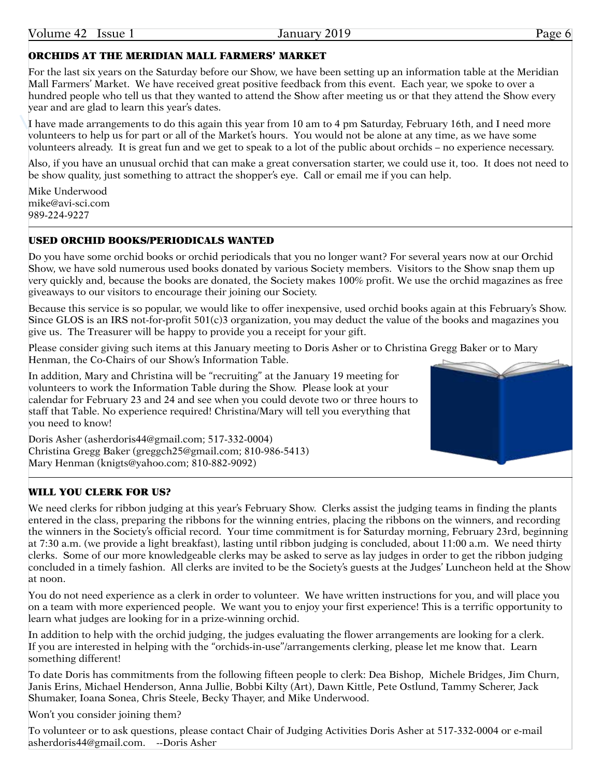# ORCHIDS AT THE MERIDIAN MALL FARMERS' MARKET

For the last six years on the Saturday before our Show, we have been setting up an information table at the Meridian Mall Farmers' Market. We have received great positive feedback from this event. Each year, we spoke to over a hundred people who tell us that they wanted to attend the Show after meeting us or that they attend the Show every year and are glad to learn this year's dates.

I have made arrangements to do this again this year from 10 am to 4 pm Saturday, February 16th, and I need more volunteers to help us for part or all of the Market's hours. You would not be alone at any time, as we have some volunteers already. It is great fun and we get to speak to a lot of the public about orchids – no experience necessary.

Also, if you have an unusual orchid that can make a great conversation starter, we could use it, too. It does not need to be show quality, just something to attract the shopper's eye. Call or email me if you can help.

Mike Underwood mike@<avi-sci.com> 989-224-9227

# USED ORCHID BOOKS/PERIODICALS WANTED

Do you have some orchid books or orchid periodicals that you no longer want? For several years now at our Orchid Show, we have sold numerous used books donated by various Society members. Visitors to the Show snap them up very quickly and, because the books are donated, the Society makes 100% profit. We use the orchid magazines as free giveaways to our visitors to encourage their joining our Society.

Because this service is so popular, we would like to offer inexpensive, used orchid books again at this February's Show. Since GLOS is an IRS not-for-profit 501(c)3 organization, you may deduct the value of the books and magazines you give us. The Treasurer will be happy to provide you a receipt for your gift.

Please consider giving such items at this January meeting to Doris Asher or to Christina Gregg Baker or to Mary Henman, the Co-Chairs of our Show's Information Table.

In addition, Mary and Christina will be "recruiting" at the January 19 meeting for volunteers to work the Information Table during the Show. Please look at your calendar for February 23 and 24 and see when you could devote two or three hours to staff that Table. No experience required! Christina/Mary will tell you everything that you need to know!

Doris Asher ([asherdoris44@gmail.com](mailto:asherdoris44@gmail.com); 517-332-0004) Christina Gregg Baker ([greggch25@gmail.com](mailto:greggch25@gmail.com); 810-986-5413) Mary Henman ([knigts@yahoo.com;](mailto:knigts@yahoo.com) 810-882-9092)

# WILL YOU CLERK FOR US?

We need clerks for ribbon judging at this year's February Show. Clerks assist the judging teams in finding the plants entered in the class, preparing the ribbons for the winning entries, placing the ribbons on the winners, and recording the winners in the Society's official record. Your time commitment is for Saturday morning, February 23rd, beginning at 7:30 a.m. (we provide a light breakfast), lasting until ribbon judging is concluded, about 11:00 a.m. We need thirty clerks. Some of our more knowledgeable clerks may be asked to serve as lay judges in order to get the ribbon judging concluded in a timely fashion. All clerks are invited to be the Society's guests at the Judges' Luncheon held at the Show at noon.

You do not need experience as a clerk in order to volunteer. We have written instructions for you, and will place you on a team with more experienced people. We want you to enjoy your first experience! This is a terrific opportunity to learn what judges are looking for in a prize-winning orchid.

In addition to help with the orchid judging, the judges evaluating the flower arrangements are looking for a clerk. If you are interested in helping with the "orchids-in-use"/arrangements clerking, please let me know that. Learn something different!

To date Doris has commitments from the following fifteen people to clerk: Dea Bishop, Michele Bridges, Jim Churn, Janis Erins, Michael Henderson, Anna Jullie, Bobbi Kilty (Art), Dawn Kittle, Pete Ostlund, Tammy Scherer, Jack Shumaker, Ioana Sonea, Chris Steele, Becky Thayer, and Mike Underwood.

Won't you consider joining them?

To volunteer or to ask questions, please contact Chair of Judging Activities Doris Asher at 517-332-0004 or e-mail [asherdoris44@gmail.com](mailto:asherdoris44@gmail.com). --Doris Asher

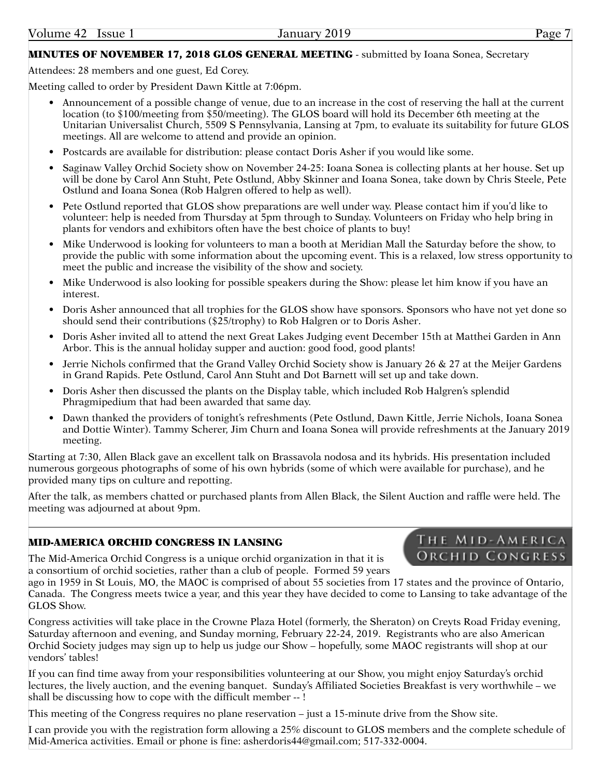# MINUTES OF NOVEMBER 17, 2018 GLOS GENERAL MEETING - submitted by Ioana Sonea, Secretary

Attendees: 28 members and one guest, Ed Corey.

Meeting called to order by President Dawn Kittle at 7:06pm.

- Announcement of a possible change of venue, due to an increase in the cost of reserving the hall at the current location (to \$100/meeting from \$50/meeting). The GLOS board will hold its December 6th meeting at the Unitarian Universalist Church, 5509 S Pennsylvania, Lansing at 7pm, to evaluate its suitability for future GLOS meetings. All are welcome to attend and provide an opinion.
- Postcards are available for distribution: please contact Doris Asher if you would like some.
- Saginaw Valley Orchid Society show on November 24-25: Ioana Sonea is collecting plants at her house. Set up will be done by Carol Ann Stuht, Pete Ostlund, Abby Skinner and Ioana Sonea, take down by Chris Steele, Pete Ostlund and Ioana Sonea (Rob Halgren offered to help as well).
- Pete Ostlund reported that GLOS show preparations are well under way. Please contact him if you'd like to volunteer: help is needed from Thursday at 5pm through to Sunday. Volunteers on Friday who help bring in plants for vendors and exhibitors often have the best choice of plants to buy!
- Mike Underwood is looking for volunteers to man a booth at Meridian Mall the Saturday before the show, to provide the public with some information about the upcoming event. This is a relaxed, low stress opportunity to meet the public and increase the visibility of the show and society.
- Mike Underwood is also looking for possible speakers during the Show: please let him know if you have an interest.
- Doris Asher announced that all trophies for the GLOS show have sponsors. Sponsors who have not yet done so should send their contributions (\$25/trophy) to Rob Halgren or to Doris Asher.
- Doris Asher invited all to attend the next Great Lakes Judging event December 15th at Matthei Garden in Ann Arbor. This is the annual holiday supper and auction: good food, good plants!
- Jerrie Nichols confirmed that the Grand Valley Orchid Society show is January 26 & 27 at the Meijer Gardens in Grand Rapids. Pete Ostlund, Carol Ann Stuht and Dot Barnett will set up and take down.
- Doris Asher then discussed the plants on the Display table, which included Rob Halgren's splendid Phragmipedium that had been awarded that same day.
- Dawn thanked the providers of tonight's refreshments (Pete Ostlund, Dawn Kittle, Jerrie Nichols, Ioana Sonea and Dottie Winter). Tammy Scherer, Jim Churn and Ioana Sonea will provide refreshments at the January 2019 meeting.

Starting at 7:30, Allen Black gave an excellent talk on Brassavola nodosa and its hybrids. His presentation included numerous gorgeous photographs of some of his own hybrids (some of which were available for purchase), and he provided many tips on culture and repotting.

After the talk, as members chatted or purchased plants from Allen Black, the Silent Auction and raffle were held. The meeting was adjourned at about 9pm.

# MID-AMERICA ORCHID CONGRESS IN LANSING

The Mid-America Orchid Congress is a unique orchid organization in that it is a consortium of orchid societies, rather than a club of people. Formed 59 years

ago in 1959 in St Louis, MO, the MAOC is comprised of about 55 societies from 17 states and the province of Ontario, Canada. The Congress meets twice a year, and this year they have decided to come to Lansing to take advantage of the GLOS Show.

Congress activities will take place in the Crowne Plaza Hotel (formerly, the Sheraton) on Creyts Road Friday evening, Saturday afternoon and evening, and Sunday morning, February 22-24, 2019. Registrants who are also American Orchid Society judges may sign up to help us judge our Show – hopefully, some MAOC registrants will shop at our vendors' tables!

If you can find time away from your responsibilities volunteering at our Show, you might enjoy Saturday's orchid lectures, the lively auction, and the evening banquet. Sunday's Affiliated Societies Breakfast is very worthwhile – we shall be discussing how to cope with the difficult member -- !

This meeting of the Congress requires no plane reservation – just a 15-minute drive from the Show site.

I can provide you with the registration form allowing a 25% discount to GLOS members and the complete schedule of Mid-America activities. Email or phone is fine: [asherdoris44@gmail.com;](mailto:asherdoris44@gmail.com) 517-332-0004.

# THE MID-AMERICA ORCHID CONGRESS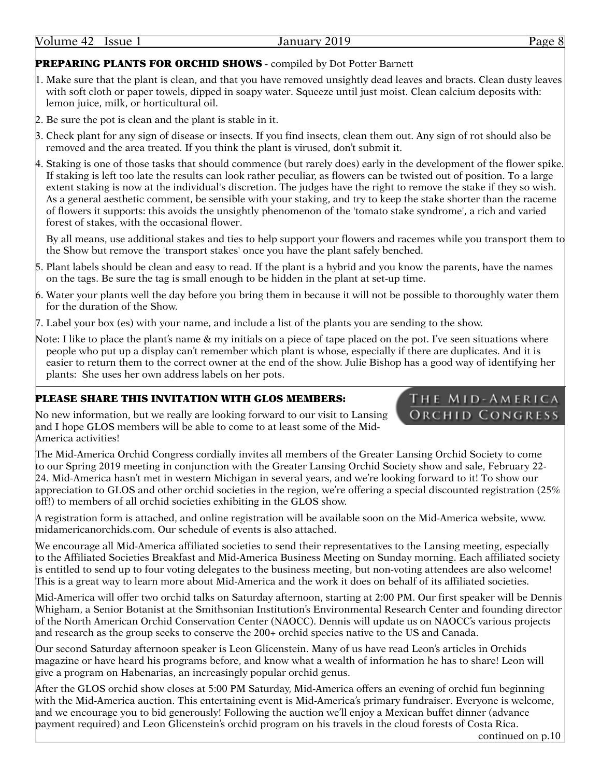# PREPARING PLANTS FOR ORCHID SHOWS - compiled by Dot Potter Barnett

- 1. Make sure that the plant is clean, and that you have removed unsightly dead leaves and bracts. Clean dusty leaves with soft cloth or paper towels, dipped in soapy water. Squeeze until just moist. Clean calcium deposits with: lemon juice, milk, or horticultural oil.
- 2. Be sure the pot is clean and the plant is stable in it.
- 3. Check plant for any sign of disease or insects. If you find insects, clean them out. Any sign of rot should also be removed and the area treated. If you think the plant is virused, don't submit it.
- 4. Staking is one of those tasks that should commence (but rarely does) early in the development of the flower spike. If staking is left too late the results can look rather peculiar, as flowers can be twisted out of position. To a large extent staking is now at the individual's discretion. The judges have the right to remove the stake if they so wish. As a general aesthetic comment, be sensible with your staking, and try to keep the stake shorter than the raceme of flowers it supports: this avoids the unsightly phenomenon of the 'tomato stake syndrome', a rich and varied forest of stakes, with the occasional flower.

By all means, use additional stakes and ties to help support your flowers and racemes while you transport them to the Show but remove the 'transport stakes' once you have the plant safely benched.

- 5. Plant labels should be clean and easy to read. If the plant is a hybrid and you know the parents, have the names on the tags. Be sure the tag is small enough to be hidden in the plant at set-up time.
- 6. Water your plants well the day before you bring them in because it will not be possible to thoroughly water them for the duration of the Show.
- 7. Label your box (es) with your name, and include a list of the plants you are sending to the show.
- Note: I like to place the plant's name & my initials on a piece of tape placed on the pot. I've seen situations where people who put up a display can't remember which plant is whose, especially if there are duplicates. And it is easier to return them to the correct owner at the end of the show. Julie Bishop has a good way of identifying her plants: She uses her own address labels on her pots.

# PLEASE SHARE THIS INVITATION WITH GLOS MEMBERS:

No new information, but we really are looking forward to our visit to Lansing and I hope GLOS members will be able to come to at least some of the Mid-America activities!

The Mid-America Orchid Congress cordially invites all members of the Greater Lansing Orchid Society to come to our Spring 2019 meeting in conjunction with the Greater Lansing Orchid Society show and sale, February 22- 24. Mid-America hasn't met in western Michigan in several years, and we're looking forward to it! To show our appreciation to GLOS and other orchid societies in the region, we're offering a special discounted registration (25% off!) to members of all orchid societies exhibiting in the GLOS show.

A registration form is attached, and online registration will be available soon on the Mid-America website, [www.](www.midamericanorchids.com) [midamericanorchids.com](www.midamericanorchids.com). Our schedule of events is also attached.

We encourage all Mid-America affiliated societies to send their representatives to the Lansing meeting, especially to the Affiliated Societies Breakfast and Mid-America Business Meeting on Sunday morning. Each affiliated society is entitled to send up to four voting delegates to the business meeting, but non-voting attendees are also welcome! This is a great way to learn more about Mid-America and the work it does on behalf of its affiliated societies.

Mid-America will offer two orchid talks on Saturday afternoon, starting at 2:00 PM. Our first speaker will be Dennis Whigham, a Senior Botanist at the Smithsonian Institution's Environmental Research Center and founding director of the North American Orchid Conservation Center (NAOCC). Dennis will update us on NAOCC's various projects and research as the group seeks to conserve the 200+ orchid species native to the US and Canada.

Our second Saturday afternoon speaker is Leon Glicenstein. Many of us have read Leon's articles in Orchids magazine or have heard his programs before, and know what a wealth of information he has to share! Leon will give a program on Habenarias, an increasingly popular orchid genus.

After the GLOS orchid show closes at 5:00 PM Saturday, Mid-America offers an evening of orchid fun beginning with the Mid-America auction. This entertaining event is Mid-America's primary fundraiser. Everyone is welcome, and we encourage you to bid generously! Following the auction we'll enjoy a Mexican buffet dinner (advance payment required) and Leon Glicenstein's orchid program on his travels in the cloud forests of Costa Rica.

continued on p.10

THE MID-AMERICA **ORCHID CONGRESS**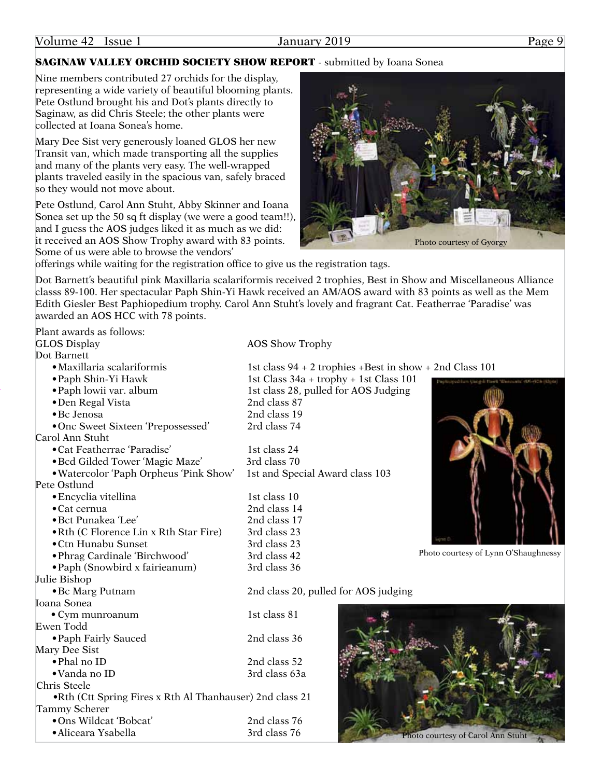# **SAGINAW VALLEY ORCHID SOCIETY SHOW REPORT** - submitted by Ioana Sonea

Nine members contributed 27 orchids for the display, representing a wide variety of beautiful blooming plants. Pete Ostlund brought his and Dot's plants directly to Saginaw, as did Chris Steele; the other plants were collected at Ioana Sonea's home.

Mary Dee Sist very generously loaned GLOS her new Transit van, which made transporting all the supplies and many of the plants very easy. The well-wrapped plants traveled easily in the spacious van, safely braced so they would not move about.

Pete Ostlund, Carol Ann Stuht, Abby Skinner and Ioana Sonea set up the 50 sq ft display (we were a good team!!), and I guess the AOS judges liked it as much as we did: it received an AOS Show Trophy award with 83 points. Some of us were able to browse the vendors'



offerings while waiting for the registration office to give us the registration tags.

Dot Barnett's beautiful pink Maxillaria scalariformis received 2 trophies, Best in Show and Miscellaneous Alliance classs 89-100. Her spectacular Paph Shin-Yi Hawk received an AM/AOS award with 83 points as well as the Mem Edith Giesler Best Paphiopedium trophy. Carol Ann Stuht's lovely and fragrant Cat. Featherrae 'Paradise' was awarded an AOS HCC with 78 points.

Plant awards as follows: GLOS Display AOS Show Trophy Dot Barnett •Maxillaria scalariformis 1st class 94 + 2 trophies +Best in show + 2nd Class 101 •Paph Shin-Yi Hawk 1st Class 34a + trophy + 1st Class 101 • Paph lowii var. album 1st class 28, pulled for AOS Judging •Den Regal Vista 2nd class 87 •Bc Jenosa 2nd class 19 •Onc Sweet Sixteen 'Prepossessed' 2rd class 74 Carol Ann Stuht •Cat Featherrae 'Paradise' 1st class 24 • Bcd Gilded Tower 'Magic Maze' 3rd class 70 •Watercolor 'Paph Orpheus 'Pink Show' 1st and Special Award class 103 Pete Ostlund • Encyclia vitellina 1st class 10 •Cat cernua 2nd class 14 •Bct Punakea 'Lee' 2nd class 17 • Rth (C Florence Lin x Rth Star Fire) 3rd class 23 •Ctn Hunabu Sunset 3rd class 23 •Phrag Cardinale 'Birchwood' 3rd class 42 •Paph (Snowbird x fairieanum) 3rd class 36 Julie Bishop •Bc Marg Putnam 2nd class 20, pulled for AOS judging Ioana Sonea • Cym munroanum 1st class 81 Ewen Todd • Paph Fairly Sauced 2nd class 36 Mary Dee Sist •Phal no ID 2nd class 52 •Vanda no ID 3rd class 63a Chris Steele •Rth (Ctt Spring Fires x Rth Al Thanhauser) 2nd class 21 Tammy Scherer •Ons Wildcat 'Bobcat' 2nd class 76

•Aliceara Ysabella 3rd class 76

Photo courtesy of Lynn O'Shaughnessy

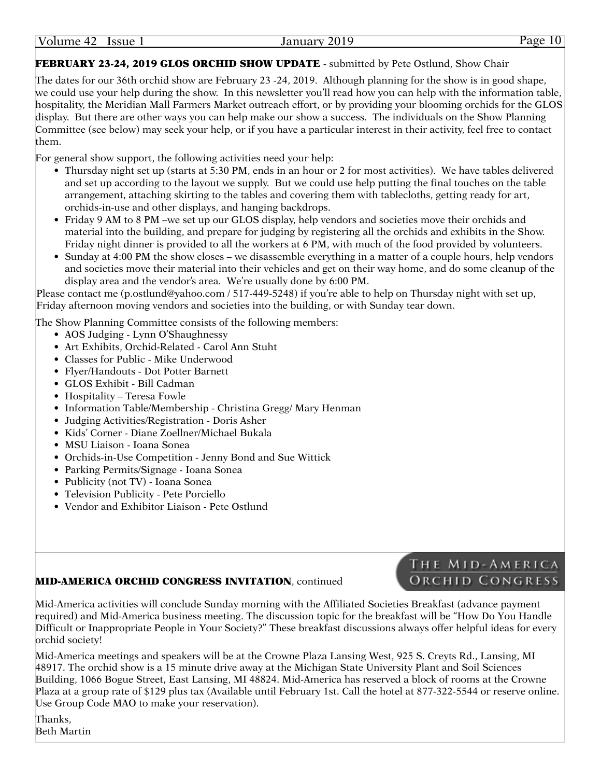| Volume<br>2019<br>$A9^{\prime}$<br><b>January</b><br>lssue<br>$\leftarrow$<br>−∠ |
|----------------------------------------------------------------------------------|
|----------------------------------------------------------------------------------|

# FEBRUARY 23-24, 2019 GLOS ORCHID SHOW UPDATE - submitted by Pete Ostlund, Show Chair

The dates for our 36th orchid show are February 23 -24, 2019. Although planning for the show is in good shape, we could use your help during the show. In this newsletter you'll read how you can help with the information table, hospitality, the Meridian Mall Farmers Market outreach effort, or by providing your blooming orchids for the GLOS display. But there are other ways you can help make our show a success. The individuals on the Show Planning Committee (see below) may seek your help, or if you have a particular interest in their activity, feel free to contact them.

For general show support, the following activities need your help:

- Thursday night set up (starts at 5:30 PM, ends in an hour or 2 for most activities). We have tables delivered and set up according to the layout we supply. But we could use help putting the final touches on the table arrangement, attaching skirting to the tables and covering them with tablecloths, getting ready for art, orchids-in-use and other displays, and hanging backdrops.
- Friday 9 AM to 8 PM –we set up our GLOS display, help vendors and societies move their orchids and material into the building, and prepare for judging by registering all the orchids and exhibits in the Show. Friday night dinner is provided to all the workers at 6 PM, with much of the food provided by volunteers.
- Sunday at 4:00 PM the show closes we disassemble everything in a matter of a couple hours, help vendors and societies move their material into their vehicles and get on their way home, and do some cleanup of the display area and the vendor's area. We're usually done by 6:00 PM.

Please contact me ([p.ostlund@yahoo.com](mailto:p.ostlund@yahoo.com) / 517-449-5248) if you're able to help on Thursday night with set up, Friday afternoon moving vendors and societies into the building, or with Sunday tear down.

The Show Planning Committee consists of the following members:

- AOS Judging Lynn O'Shaughnessy
- Art Exhibits, Orchid-Related Carol Ann Stuht
- Classes for Public Mike Underwood
- Flyer/Handouts Dot Potter Barnett
- GLOS Exhibit Bill Cadman
- Hospitality Teresa Fowle
- Information Table/Membership Christina Gregg/ Mary Henman
- Judging Activities/Registration Doris Asher
- Kids' Corner Diane Zoellner/Michael Bukala
- MSU Liaison Ioana Sonea
- Orchids-in-Use Competition Jenny Bond and Sue Wittick
- Parking Permits/Signage Ioana Sonea
- Publicity (not TV) Ioana Sonea
- Television Publicity Pete Porciello
- Vendor and Exhibitor Liaison Pete Ostlund

### MID-AMERICA ORCHID CONGRESS INVITATION, continued

# THE MID-AMERICA **ORCHID CONGRESS**

Mid-America activities will conclude Sunday morning with the Affiliated Societies Breakfast (advance payment required) and Mid-America business meeting. The discussion topic for the breakfast will be "How Do You Handle Difficult or Inappropriate People in Your Society?" These breakfast discussions always offer helpful ideas for every orchid society!

Mid-America meetings and speakers will be at the Crowne Plaza Lansing West, 925 S. Creyts Rd., Lansing, MI 48917. The orchid show is a 15 minute drive away at the Michigan State University Plant and Soil Sciences Building, 1066 Bogue Street, East Lansing, MI 48824. Mid-America has reserved a block of rooms at the Crowne Plaza at a group rate of \$129 plus tax (Available until February 1st. Call the hotel at 877-322-5544 or reserve online. Use Group Code MAO to make your reservation).

Thanks, Beth Martin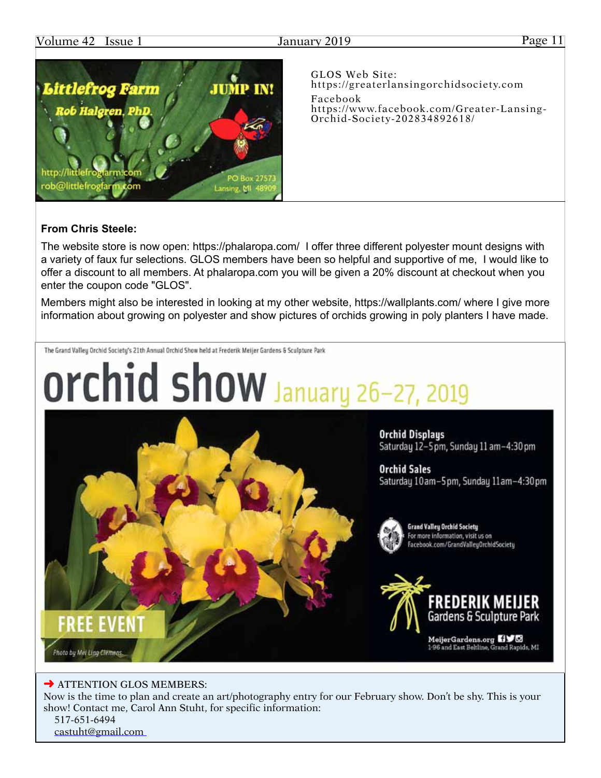

GLOS Web Site: [https://greaterlansingorchidsociety.com](http://greaterlansingorchidsociety.com) Facebook [https://www.facebook.com/Greater-](https://www.facebook.com/Greater)Lansing-Orchid-Society-202834892618/

# **From Chris Steele:**

The website store is now open:<https://phalaropa.com>/ I offer three different polyester mount designs with a variety of faux fur selections. GLOS members have been so helpful and supportive of me, I would like to offer a discount to all members. At <phalaropa.com>you will be given a 20% discount at checkout when you enter the coupon code "GLOS".

Members might also be interested in looking at my other website, [https://wallplants.com/](https://wallplants.com) where I give more information about growing on polyester and show pictures of orchids growing in poly planters I have made.

The Grand Valley Orchid Society's 21th Annual Orchid Show held at Frederik Meijer Gardens & Sculpture Park



### **→ ATTENTION GLOS MEMBERS:**

Now is the time to plan and create an art/photography entry for our February show. Don't be shy. This is your show! Contact me, Carol Ann Stuht, for specific information:

 517-651-6494 [castuht@gmail.com](mailto:castuht@gmail.com)